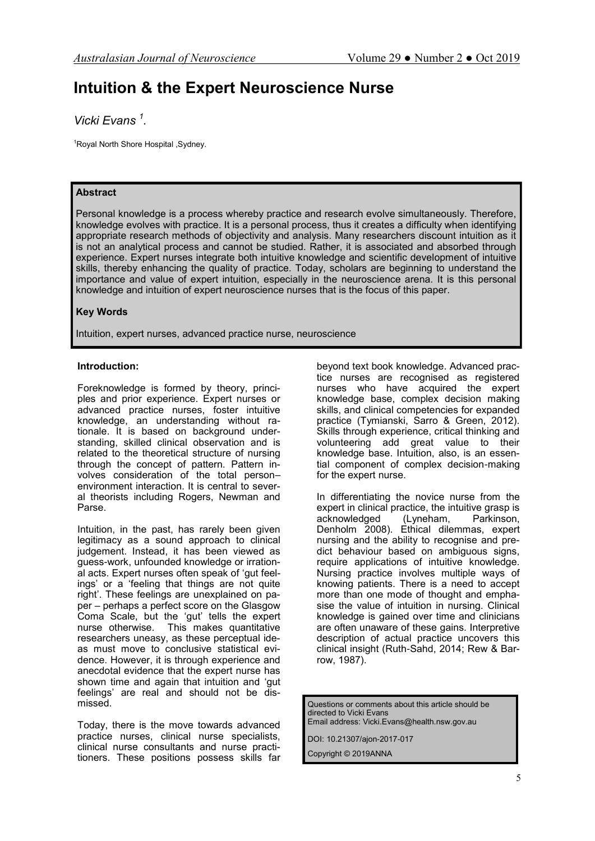# **Intuition & the Expert Neuroscience Nurse**

*Vicki Evans <sup>1</sup> .*

1Royal North Shore Hospital , Sydney.

# **Abstract**

Personal knowledge is a process whereby practice and research evolve simultaneously. Therefore, knowledge evolves with practice. It is a personal process, thus it creates a difficulty when identifying appropriate research methods of objectivity and analysis. Many researchers discount intuition as it is not an analytical process and cannot be studied. Rather, it is associated and absorbed through experience. Expert nurses integrate both intuitive knowledge and scientific development of intuitive skills, thereby enhancing the quality of practice. Today, scholars are beginning to understand the importance and value of expert intuition, especially in the neuroscience arena. It is this personal knowledge and intuition of expert neuroscience nurses that is the focus of this paper.

# **Key Words**

Intuition, expert nurses, advanced practice nurse, neuroscience

#### **Introduction:**

Foreknowledge is formed by theory, principles and prior experience. Expert nurses or advanced practice nurses, foster intuitive knowledge, an understanding without rationale. It is based on background understanding, skilled clinical observation and is related to the theoretical structure of nursing through the concept of pattern. Pattern involves consideration of the total person– environment interaction. It is central to several theorists including Rogers, Newman and Parse.

Intuition, in the past, has rarely been given legitimacy as a sound approach to clinical judgement. Instead, it has been viewed as guess-work, unfounded knowledge or irrational acts. Expert nurses often speak of 'gut feelings' or a 'feeling that things are not quite right'. These feelings are unexplained on paper – perhaps a perfect score on the Glasgow Coma Scale, but the 'gut' tells the expert nurse otherwise. This makes quantitative researchers uneasy, as these perceptual ideas must move to conclusive statistical evidence. However, it is through experience and anecdotal evidence that the expert nurse has shown time and again that intuition and 'gut feelings' are real and should not be dismissed.

Today, there is the move towards advanced practice nurses, clinical nurse specialists, clinical nurse consultants and nurse practitioners. These positions possess skills far

beyond text book knowledge. Advanced practice nurses are recognised as registered nurses who have acquired the expert knowledge base, complex decision making skills, and clinical competencies for expanded practice (Tymianski, Sarro & Green, 2012). Skills through experience, critical thinking and volunteering add great value to their knowledge base. Intuition, also, is an essential component of complex decision-making for the expert nurse.

In differentiating the novice nurse from the expert in clinical practice, the intuitive grasp is<br>acknowledged (Lyneham, Parkinson, acknowledged Denholm 2008). Ethical dilemmas, expert nursing and the ability to recognise and predict behaviour based on ambiguous signs, require applications of intuitive knowledge. Nursing practice involves multiple ways of knowing patients. There is a need to accept more than one mode of thought and emphasise the value of intuition in nursing. Clinical knowledge is gained over time and clinicians are often unaware of these gains. Interpretive description of actual practice uncovers this clinical insight (Ruth-Sahd, 2014; Rew & Barrow, 1987).

Questions or comments about this article should be directed to Vicki Evans Email address: Vicki.Evans@health.nsw.gov.au

DOI: 10.21307/ajon-2017-017

Copyright © 2019ANNA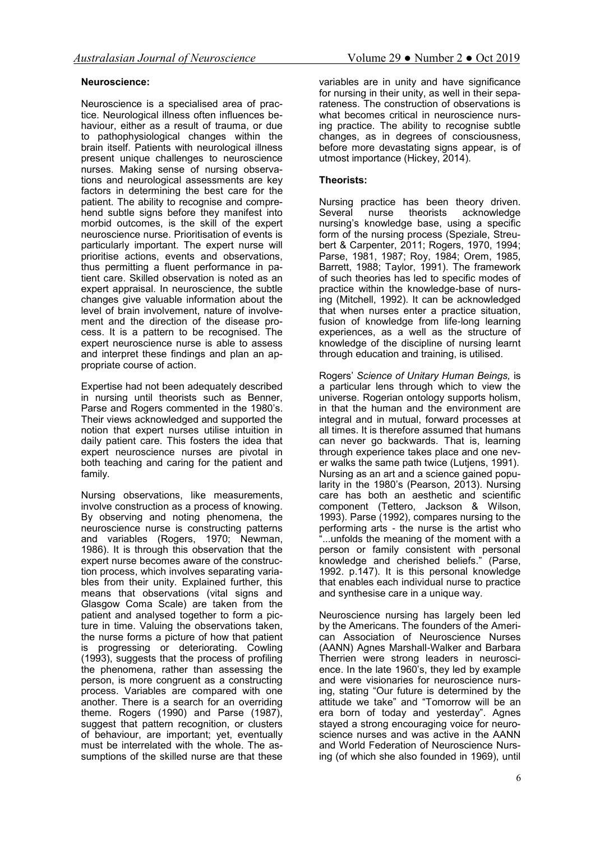# **Neuroscience:**

Neuroscience is a specialised area of practice. Neurological illness often influences behaviour, either as a result of trauma, or due to pathophysiological changes within the brain itself. Patients with neurological illness present unique challenges to neuroscience nurses. Making sense of nursing observations and neurological assessments are key factors in determining the best care for the patient. The ability to recognise and comprehend subtle signs before they manifest into morbid outcomes, is the skill of the expert neuroscience nurse. Prioritisation of events is particularly important. The expert nurse will prioritise actions, events and observations, thus permitting a fluent performance in patient care. Skilled observation is noted as an expert appraisal. In neuroscience, the subtle changes give valuable information about the level of brain involvement, nature of involvement and the direction of the disease process. It is a pattern to be recognised. The expert neuroscience nurse is able to assess and interpret these findings and plan an appropriate course of action.

Expertise had not been adequately described in nursing until theorists such as Benner, Parse and Rogers commented in the 1980's. Their views acknowledged and supported the notion that expert nurses utilise intuition in daily patient care. This fosters the idea that expert neuroscience nurses are pivotal in both teaching and caring for the patient and family.

Nursing observations, like measurements, involve construction as a process of knowing. By observing and noting phenomena, the neuroscience nurse is constructing patterns and variables (Rogers, 1970; Newman, 1986). It is through this observation that the expert nurse becomes aware of the construction process, which involves separating variables from their unity. Explained further, this means that observations (vital signs and Glasgow Coma Scale) are taken from the patient and analysed together to form a picture in time. Valuing the observations taken, the nurse forms a picture of how that patient is progressing or deteriorating. Cowling (1993), suggests that the process of profiling the phenomena, rather than assessing the person, is more congruent as a constructing process. Variables are compared with one another. There is a search for an overriding theme. Rogers (1990) and Parse (1987), suggest that pattern recognition, or clusters of behaviour, are important; yet, eventually must be interrelated with the whole. The assumptions of the skilled nurse are that these variables are in unity and have significance for nursing in their unity, as well in their separateness. The construction of observations is what becomes critical in neuroscience nursing practice. The ability to recognise subtle changes, as in degrees of consciousness, before more devastating signs appear, is of utmost importance (Hickey, 2014).

## **Theorists:**

Nursing practice has been theory driven. Several nurse theorists acknowledge nursing's knowledge base, using a specific form of the nursing process (Speziale, Streubert & Carpenter, 2011; Rogers, 1970, 1994; Parse, 1981, 1987; Roy, 1984; Orem, 1985, Barrett, 1988; Taylor, 1991). The framework of such theories has led to specific modes of practice within the knowledge-base of nursing (Mitchell, 1992). It can be acknowledged that when nurses enter a practice situation, fusion of knowledge from life-long learning experiences, as a well as the structure of knowledge of the discipline of nursing learnt through education and training, is utilised.

Rogers' *Science of Unitary Human Beings,* is a particular lens through which to view the universe. Rogerian ontology supports holism, in that the human and the environment are integral and in mutual, forward processes at all times. It is therefore assumed that humans can never go backwards. That is, learning through experience takes place and one never walks the same path twice (Lutjens, 1991). Nursing as an art and a science gained popularity in the 1980's (Pearson, 2013). Nursing care has both an aesthetic and scientific component (Tettero, Jackson & Wilson, 1993). Parse (1992), compares nursing to the performing arts - the nurse is the artist who "...unfolds the meaning of the moment with a person or family consistent with personal knowledge and cherished beliefs." (Parse, 1992. p.147). It is this personal knowledge that enables each individual nurse to practice and synthesise care in a unique way.

Neuroscience nursing has largely been led by the Americans. The founders of the American Association of Neuroscience Nurses (AANN) Agnes Marshall-Walker and Barbara Therrien were strong leaders in neuroscience. In the late 1960's, they led by example and were visionaries for neuroscience nursing, stating "Our future is determined by the attitude we take" and "Tomorrow will be an era born of today and yesterday". Agnes stayed a strong encouraging voice for neuroscience nurses and was active in the AANN and World Federation of Neuroscience Nursing (of which she also founded in 1969), until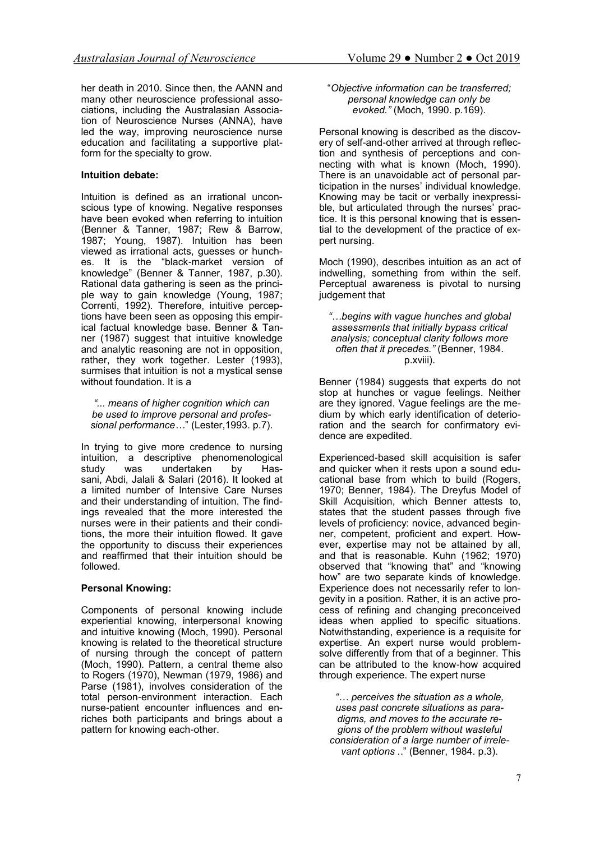her death in 2010. Since then, the AANN and many other neuroscience professional associations, including the Australasian Association of Neuroscience Nurses (ANNA), have led the way, improving neuroscience nurse education and facilitating a supportive platform for the specialty to grow.

## **Intuition debate:**

Intuition is defined as an irrational unconscious type of knowing. Negative responses have been evoked when referring to intuition (Benner & Tanner, 1987; Rew & Barrow, 1987; Young, 1987). Intuition has been viewed as irrational acts, guesses or hunches. It is the "black-market version of knowledge" (Benner & Tanner, 1987, p.30). Rational data gathering is seen as the principle way to gain knowledge (Young, 1987; Correnti, 1992). Therefore, intuitive perceptions have been seen as opposing this empirical factual knowledge base. Benner & Tanner (1987) suggest that intuitive knowledge and analytic reasoning are not in opposition, rather, they work together. Lester (1993), surmises that intuition is not a mystical sense without foundation. It is a

*"... means of higher cognition which can be used to improve personal and professional performance…*" (Lester,1993. p.7).

In trying to give more credence to nursing intuition, a descriptive phenomenological study was undertaken by Hassani, Abdi, Jalali & Salari (2016). It looked at a limited number of Intensive Care Nurses and their understanding of intuition. The findings revealed that the more interested the nurses were in their patients and their conditions, the more their intuition flowed. It gave the opportunity to discuss their experiences and reaffirmed that their intuition should be followed.

#### **Personal Knowing:**

Components of personal knowing include experiential knowing, interpersonal knowing and intuitive knowing (Moch, 1990). Personal knowing is related to the theoretical structure of nursing through the concept of pattern (Moch, 1990). Pattern, a central theme also to Rogers (1970), Newman (1979, 1986) and Parse (1981), involves consideration of the total person-environment interaction. Each nurse-patient encounter influences and enriches both participants and brings about a pattern for knowing each-other.

"*Objective information can be transferred; personal knowledge can only be evoked."* (Moch, 1990. p.169).

Personal knowing is described as the discovery of self-and-other arrived at through reflection and synthesis of perceptions and connecting with what is known (Moch, 1990). There is an unavoidable act of personal participation in the nurses' individual knowledge. Knowing may be tacit or verbally inexpressible, but articulated through the nurses' practice. It is this personal knowing that is essential to the development of the practice of expert nursing.

Moch (1990), describes intuition as an act of indwelling, something from within the self. Perceptual awareness is pivotal to nursing judgement that

*"…begins with vague hunches and global assessments that initially bypass critical analysis; conceptual clarity follows more often that it precedes."* (Benner, 1984. p.xviii).

Benner (1984) suggests that experts do not stop at hunches or vague feelings. Neither are they ignored. Vague feelings are the medium by which early identification of deterioration and the search for confirmatory evidence are expedited.

Experienced-based skill acquisition is safer and quicker when it rests upon a sound educational base from which to build (Rogers, 1970; Benner, 1984). The Dreyfus Model of Skill Acquisition, which Benner attests to, states that the student passes through five levels of proficiency: novice, advanced beginner, competent, proficient and expert. However, expertise may not be attained by all, and that is reasonable. Kuhn (1962; 1970) observed that "knowing that" and "knowing how" are two separate kinds of knowledge. Experience does not necessarily refer to longevity in a position. Rather, it is an active process of refining and changing preconceived ideas when applied to specific situations. Notwithstanding, experience is a requisite for expertise. An expert nurse would problemsolve differently from that of a beginner. This can be attributed to the know-how acquired through experience. The expert nurse

*"… perceives the situation as a whole, uses past concrete situations as paradigms, and moves to the accurate regions of the problem without wasteful consideration of a large number of irrelevant options .*." (Benner, 1984. p.3).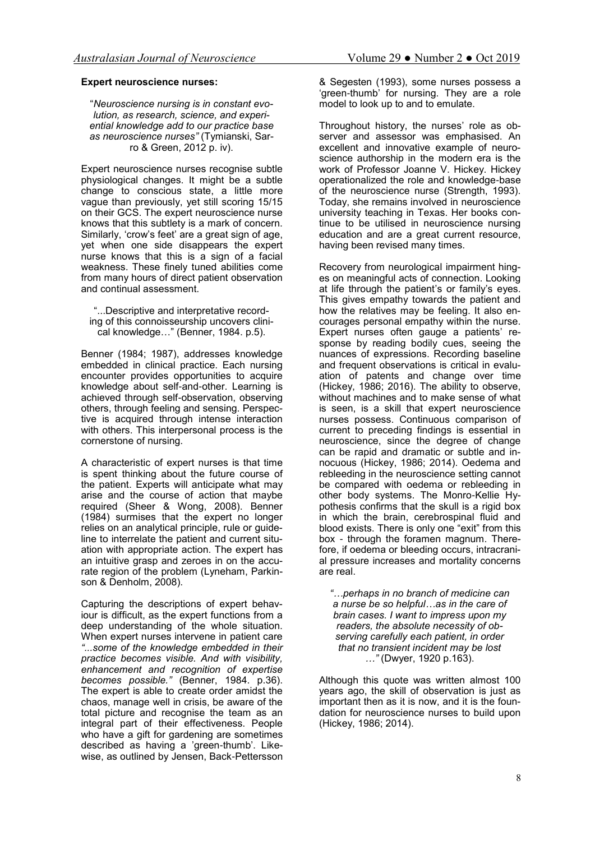#### **Expert neuroscience nurses:**

"*Neuroscience nursing is in constant evolution, as research, science, and experiential knowledge add to our practice base as neuroscience nurses"* (Tymianski, Sarro & Green, 2012 p. iv).

Expert neuroscience nurses recognise subtle physiological changes. It might be a subtle change to conscious state, a little more vague than previously, yet still scoring 15/15 on their GCS. The expert neuroscience nurse knows that this subtlety is a mark of concern. Similarly, 'crow's feet' are a great sign of age, yet when one side disappears the expert nurse knows that this is a sign of a facial weakness. These finely tuned abilities come from many hours of direct patient observation and continual assessment.

"...Descriptive and interpretative recording of this connoisseurship uncovers clinical knowledge…" (Benner, 1984. p.5).

Benner (1984; 1987), addresses knowledge embedded in clinical practice. Each nursing encounter provides opportunities to acquire knowledge about self-and-other. Learning is achieved through self-observation, observing others, through feeling and sensing. Perspective is acquired through intense interaction with others. This interpersonal process is the cornerstone of nursing.

A characteristic of expert nurses is that time is spent thinking about the future course of the patient. Experts will anticipate what may arise and the course of action that maybe required (Sheer & Wong, 2008). Benner (1984) surmises that the expert no longer relies on an analytical principle, rule or guideline to interrelate the patient and current situation with appropriate action. The expert has an intuitive grasp and zeroes in on the accurate region of the problem (Lyneham, Parkinson & Denholm, 2008).

Capturing the descriptions of expert behaviour is difficult, as the expert functions from a deep understanding of the whole situation. When expert nurses intervene in patient care *"...some of the knowledge embedded in their practice becomes visible. And with visibility, enhancement and recognition of expertise becomes possible."* (Benner, 1984. p.36). The expert is able to create order amidst the chaos, manage well in crisis, be aware of the total picture and recognise the team as an integral part of their effectiveness. People who have a gift for gardening are sometimes described as having a 'green-thumb'. Likewise, as outlined by Jensen, Back-Pettersson

& Segesten (1993), some nurses possess a 'green-thumb' for nursing. They are a role model to look up to and to emulate.

Throughout history, the nurses' role as observer and assessor was emphasised. An excellent and innovative example of neuroscience authorship in the modern era is the work of Professor Joanne V. Hickey. Hickey operationalized the role and knowledge-base of the neuroscience nurse (Strength, 1993). Today, she remains involved in neuroscience university teaching in Texas. Her books continue to be utilised in neuroscience nursing education and are a great current resource, having been revised many times.

Recovery from neurological impairment hinges on meaningful acts of connection. Looking at life through the patient's or family's eyes. This gives empathy towards the patient and how the relatives may be feeling. It also encourages personal empathy within the nurse. Expert nurses often gauge a patients' response by reading bodily cues, seeing the nuances of expressions. Recording baseline and frequent observations is critical in evaluation of patents and change over time (Hickey, 1986; 2016). The ability to observe, without machines and to make sense of what is seen, is a skill that expert neuroscience nurses possess. Continuous comparison of current to preceding findings is essential in neuroscience, since the degree of change can be rapid and dramatic or subtle and innocuous (Hickey, 1986; 2014). Oedema and rebleeding in the neuroscience setting cannot be compared with oedema or rebleeding in other body systems. The Monro-Kellie Hypothesis confirms that the skull is a rigid box in which the brain, cerebrospinal fluid and blood exists. There is only one "exit" from this box - through the foramen magnum. Therefore, if oedema or bleeding occurs, intracranial pressure increases and mortality concerns are real.

*"…perhaps in no branch of medicine can a nurse be so helpful…as in the care of brain cases. I want to impress upon my readers, the absolute necessity of observing carefully each patient, in order that no transient incident may be lost …"* (Dwyer, 1920 p.163).

Although this quote was written almost 100 years ago, the skill of observation is just as important then as it is now, and it is the foundation for neuroscience nurses to build upon (Hickey, 1986; 2014).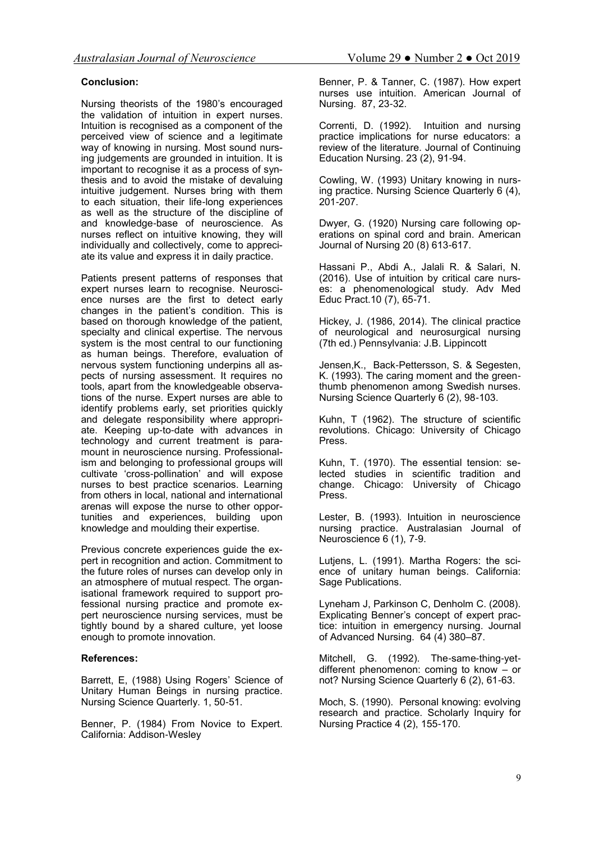# **Conclusion:**

Nursing theorists of the 1980's encouraged the validation of intuition in expert nurses. Intuition is recognised as a component of the perceived view of science and a legitimate way of knowing in nursing. Most sound nursing judgements are grounded in intuition. It is important to recognise it as a process of synthesis and to avoid the mistake of devaluing intuitive judgement. Nurses bring with them to each situation, their life-long experiences as well as the structure of the discipline of and knowledge-base of neuroscience. As nurses reflect on intuitive knowing, they will individually and collectively, come to appreciate its value and express it in daily practice.

Patients present patterns of responses that expert nurses learn to recognise. Neuroscience nurses are the first to detect early changes in the patient's condition. This is based on thorough knowledge of the patient, specialty and clinical expertise. The nervous system is the most central to our functioning as human beings. Therefore, evaluation of nervous system functioning underpins all aspects of nursing assessment. It requires no tools, apart from the knowledgeable observations of the nurse. Expert nurses are able to identify problems early, set priorities quickly and delegate responsibility where appropriate. Keeping up-to-date with advances in technology and current treatment is paramount in neuroscience nursing. Professionalism and belonging to professional groups will cultivate 'cross-pollination' and will expose nurses to best practice scenarios. Learning from others in local, national and international arenas will expose the nurse to other opportunities and experiences, building upon knowledge and moulding their expertise.

Previous concrete experiences guide the expert in recognition and action. Commitment to the future roles of nurses can develop only in an atmosphere of mutual respect. The organisational framework required to support professional nursing practice and promote expert neuroscience nursing services, must be tightly bound by a shared culture, yet loose enough to promote innovation.

#### **References:**

Barrett, E, (1988) Using Rogers' Science of Unitary Human Beings in nursing practice. Nursing Science Quarterly. 1, 50-51.

Benner, P. (1984) From Novice to Expert. California: Addison-Wesley

Benner, P. & Tanner, C. (1987). How expert nurses use intuition. American Journal of Nursing. 87, 23-32.

Correnti, D. (1992). Intuition and nursing practice implications for nurse educators: a review of the literature. Journal of Continuing Education Nursing. 23 (2), 91-94.

Cowling, W. (1993) Unitary knowing in nursing practice. Nursing Science Quarterly 6 (4), 201-207.

Dwyer, G. (1920) Nursing care following operations on spinal cord and brain. American Journal of Nursing 20 (8) 613-617.

Hassani P., Abdi A., Jalali R. & Salari, N. (2016). Use of intuition by critical care nurses: a phenomenological study. Adv Med Educ Pract.10 (7), 65-71.

Hickey, J. (1986, 2014). The clinical practice of neurological and neurosurgical nursing (7th ed.) Pennsylvania: J.B. Lippincott

Jensen,K., Back-Pettersson, S. & Segesten, K. (1993). The caring moment and the greenthumb phenomenon among Swedish nurses. Nursing Science Quarterly 6 (2), 98-103.

Kuhn, T (1962). The structure of scientific revolutions. Chicago: University of Chicago Press.

Kuhn, T. (1970). The essential tension: selected studies in scientific tradition and change. Chicago: University of Chicago Press.

Lester, B. (1993). Intuition in neuroscience nursing practice. Australasian Journal of Neuroscience 6 (1), 7-9.

Lutjens, L. (1991). Martha Rogers: the science of unitary human beings. California: Sage Publications.

Lyneham J, Parkinson C, Denholm C. (2008). Explicating Benner's concept of expert practice: intuition in emergency nursing. Journal of Advanced Nursing. 64 (4) 380–87.

Mitchell, G. (1992). The-same-thing-yetdifferent phenomenon: coming to know – or not? Nursing Science Quarterly 6 (2), 61-63.

Moch, S. (1990). Personal knowing: evolving research and practice. Scholarly Inquiry for Nursing Practice 4 (2), 155-170.